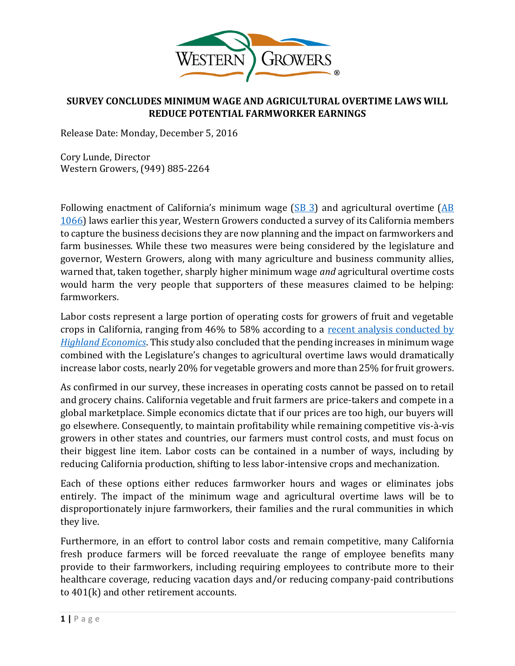

### **SURVEY CONCLUDES MINIMUM WAGE AND AGRICULTURAL OVERTIME LAWS WILL REDUCE POTENTIAL FARMWORKER EARNINGS**

Release Date: Monday, December 5, 2016

Cory Lunde, Director Western Growers, (949) 885-2264

Following enactment of California's minimum wage  $(SB 3)$  $(SB 3)$  and agricultural overtime  $(AB)$ [1066\)](https://leginfo.legislature.ca.gov/faces/billNavClient.xhtml?bill_id=201520160AB1066) laws earlier this year, Western Growers conducted a survey of its California members to capture the business decisions they are now planning and the impact on farmworkers and farm businesses. While these two measures were being considered by the legislature and governor, Western Growers, along with many agriculture and business community allies, warned that, taken together, sharply higher minimum wage *and* agricultural overtime costs would harm the very people that supporters of these measures claimed to be helping: farmworkers.

Labor costs represent a large portion of operating costs for growers of fruit and vegetable crops in California, ranging from 46% to 58% according to a [recent analysis conducted by](https://www.wga.com/sites/wga.com/files/Highland%20Economics%20Executive%20Summary.pdf)  *[Highland Economics](https://www.wga.com/sites/wga.com/files/Highland%20Economics%20Executive%20Summary.pdf)*. This study also concluded that the pending increases in minimum wage combined with the Legislature's changes to agricultural overtime laws would dramatically increase labor costs, nearly 20% for vegetable growers and more than 25% for fruit growers.

As confirmed in our survey, these increases in operating costs cannot be passed on to retail and grocery chains. California vegetable and fruit farmers are price-takers and compete in a global marketplace. Simple economics dictate that if our prices are too high, our buyers will go elsewhere. Consequently, to maintain profitability while remaining competitive vis-à-vis growers in other states and countries, our farmers must control costs, and must focus on their biggest line item. Labor costs can be contained in a number of ways, including by reducing California production, shifting to less labor-intensive crops and mechanization.

Each of these options either reduces farmworker hours and wages or eliminates jobs entirely. The impact of the minimum wage and agricultural overtime laws will be to disproportionately injure farmworkers, their families and the rural communities in which they live.

Furthermore, in an effort to control labor costs and remain competitive, many California fresh produce farmers will be forced reevaluate the range of employee benefits many provide to their farmworkers, including requiring employees to contribute more to their healthcare coverage, reducing vacation days and/or reducing company-paid contributions to 401(k) and other retirement accounts.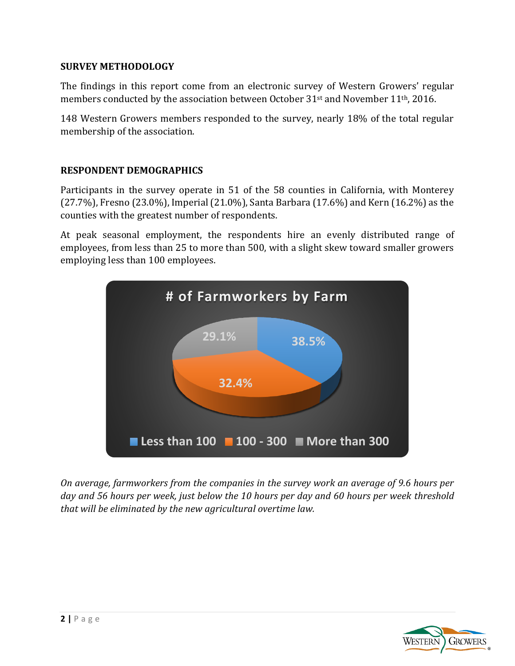### **SURVEY METHODOLOGY**

The findings in this report come from an electronic survey of Western Growers' regular members conducted by the association between October 31st and November 11th, 2016.

148 Western Growers members responded to the survey, nearly 18% of the total regular membership of the association.

### **RESPONDENT DEMOGRAPHICS**

Participants in the survey operate in 51 of the 58 counties in California, with Monterey (27.7%), Fresno (23.0%), Imperial (21.0%), Santa Barbara (17.6%) and Kern (16.2%) as the counties with the greatest number of respondents.

At peak seasonal employment, the respondents hire an evenly distributed range of employees, from less than 25 to more than 500, with a slight skew toward smaller growers employing less than 100 employees.



*On average, farmworkers from the companies in the survey work an average of 9.6 hours per day and 56 hours per week, just below the 10 hours per day and 60 hours per week threshold that will be eliminated by the new agricultural overtime law.* 

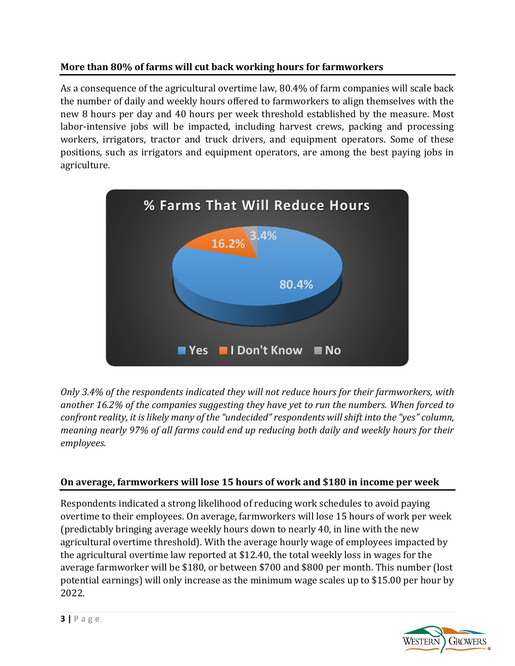# **More than 80% of farms will cut back working hours for farmworkers**

As a consequence of the agricultural overtime law, 80.4% of farm companies will scale back the number of daily and weekly hours offered to farmworkers to align themselves with the new 8 hours per day and 40 hours per week threshold established by the measure. Most labor-intensive jobs will be impacted, including harvest crews, packing and processing workers, irrigators, tractor and truck drivers, and equipment operators. Some of these positions, such as irrigators and equipment operators, are among the best paying jobs in agriculture.



*Only 3.4% of the respondents indicated they will not reduce hours for their farmworkers, with another 16.2% of the companies suggesting they have yet to run the numbers. When forced to confront reality, it is likely many of the "undecided" respondents will shift into the "yes" column, meaning nearly 97% of all farms could end up reducing both daily and weekly hours for their employees.* 

### **On average, farmworkers will lose 15 hours of work and \$180 in income per week**

Respondents indicated a strong likelihood of reducing work schedules to avoid paying overtime to their employees. On average, farmworkers will lose 15 hours of work per week (predictably bringing average weekly hours down to nearly 40, in line with the new agricultural overtime threshold). With the average hourly wage of employees impacted by the agricultural overtime law reported at \$12.40, the total weekly loss in wages for the average farmworker will be \$180, or between \$700 and \$800 per month. This number (lost potential earnings) will only increase as the minimum wage scales up to \$15.00 per hour by 2022.

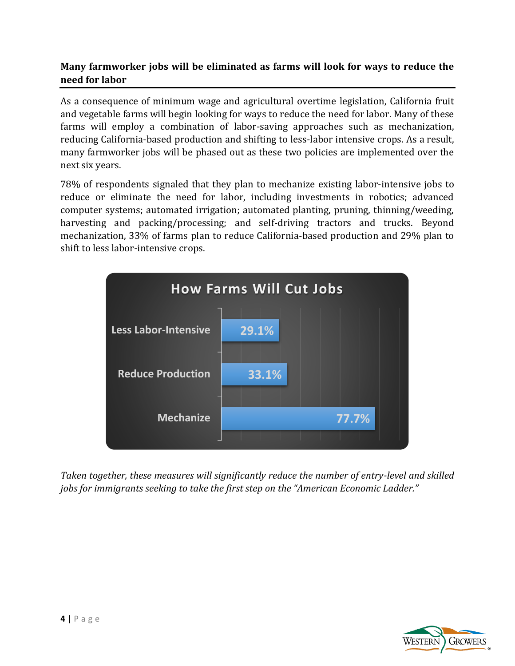### **Many farmworker jobs will be eliminated as farms will look for ways to reduce the need for labor**

As a consequence of minimum wage and agricultural overtime legislation, California fruit and vegetable farms will begin looking for ways to reduce the need for labor. Many of these farms will employ a combination of labor-saving approaches such as mechanization, reducing California-based production and shifting to less-labor intensive crops. As a result, many farmworker jobs will be phased out as these two policies are implemented over the next six years.

78% of respondents signaled that they plan to mechanize existing labor-intensive jobs to reduce or eliminate the need for labor, including investments in robotics; advanced computer systems; automated irrigation; automated planting, pruning, thinning/weeding, harvesting and packing/processing; and self-driving tractors and trucks. Beyond mechanization, 33% of farms plan to reduce California-based production and 29% plan to shift to less labor-intensive crops.



*Taken together, these measures will significantly reduce the number of entry-level and skilled jobs for immigrants seeking to take the first step on the "American Economic Ladder."*

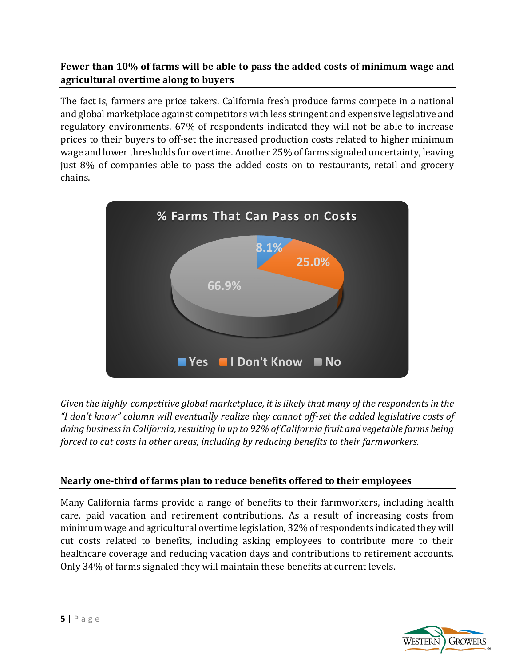## **Fewer than 10% of farms will be able to pass the added costs of minimum wage and agricultural overtime along to buyers**

The fact is, farmers are price takers. California fresh produce farms compete in a national and global marketplace against competitors with less stringent and expensive legislative and regulatory environments. 67% of respondents indicated they will not be able to increase prices to their buyers to off-set the increased production costs related to higher minimum wage and lower thresholds for overtime. Another 25% of farms signaled uncertainty, leaving just 8% of companies able to pass the added costs on to restaurants, retail and grocery chains.



*Given the highly-competitive global marketplace, it is likely that many of the respondents in the "I don't know" column will eventually realize they cannot off-set the added legislative costs of doing business in California, resulting in up to 92% of California fruit and vegetable farms being forced to cut costs in other areas, including by reducing benefits to their farmworkers.* 

# **Nearly one-third of farms plan to reduce benefits offered to their employees**

Many California farms provide a range of benefits to their farmworkers, including health care, paid vacation and retirement contributions. As a result of increasing costs from minimum wage and agricultural overtime legislation, 32% of respondents indicated they will cut costs related to benefits, including asking employees to contribute more to their healthcare coverage and reducing vacation days and contributions to retirement accounts. Only 34% of farms signaled they will maintain these benefits at current levels.

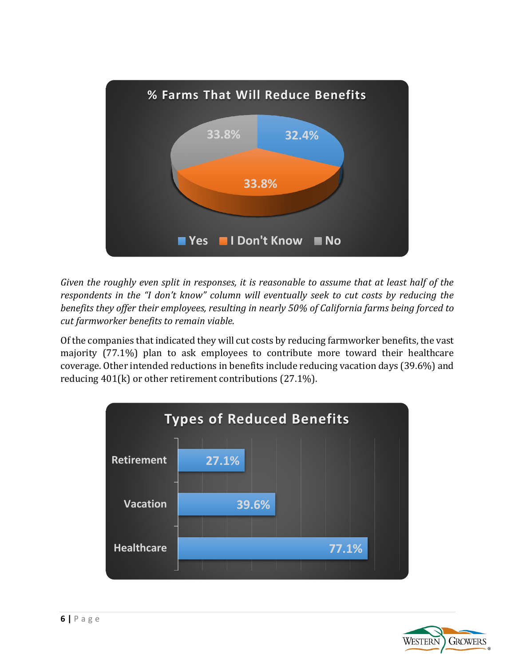

*Given the roughly even split in responses, it is reasonable to assume that at least half of the respondents in the "I don't know" column will eventually seek to cut costs by reducing the benefits they offer their employees, resulting in nearly 50% of California farms being forced to cut farmworker benefits to remain viable.* 

Of the companies that indicated they will cut costs by reducing farmworker benefits, the vast majority (77.1%) plan to ask employees to contribute more toward their healthcare coverage. Other intended reductions in benefits include reducing vacation days (39.6%) and reducing 401(k) or other retirement contributions (27.1%).